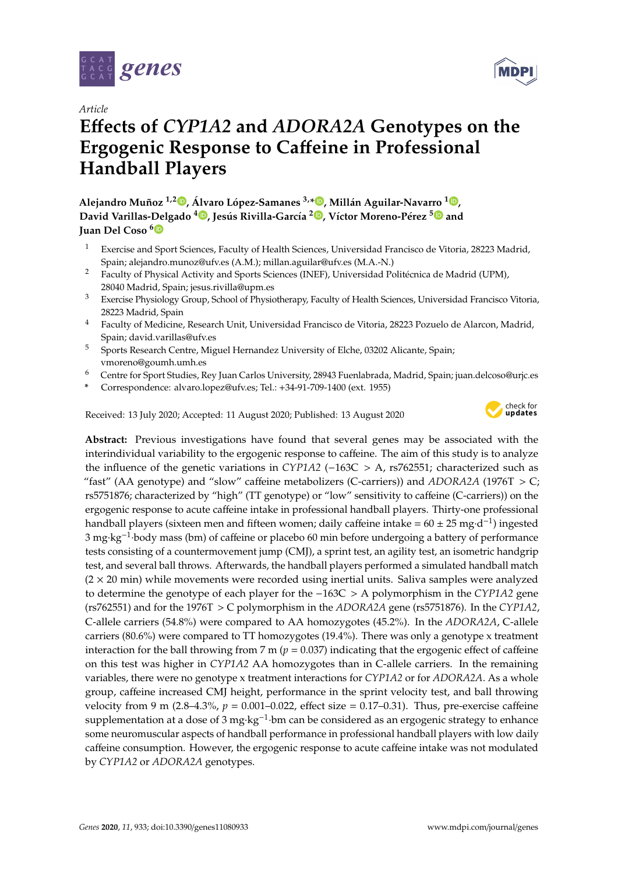

*Article*

# **E**ff**ects of** *CYP1A2* **and** *ADORA2A* **Genotypes on the Ergogenic Response to Ca**ff**eine in Professional Handball Players**

**Alejandro Muñoz 1,2 [,](https://orcid.org/0000-0001-7679-4116) Álvaro López-Samanes 3,[\\*](https://orcid.org/0000-0003-0721-0150) , Millán Aguilar-Navarro <sup>1</sup> [,](https://orcid.org/0000-0001-9130-9182) David Varillas-Delgado <sup>4</sup> [,](https://orcid.org/0000-0001-5026-2701) Jesús Rivilla-García 2 [,](https://orcid.org/0000-0002-3722-4521) Víctor Moreno-Pérez [5](https://orcid.org/0000-0003-3357-0045) and Juan Del Coso [6](https://orcid.org/0000-0002-5785-984X)**

- <sup>1</sup> Exercise and Sport Sciences, Faculty of Health Sciences, Universidad Francisco de Vitoria, 28223 Madrid, Spain; alejandro.munoz@ufv.es (A.M.); millan.aguilar@ufv.es (M.A.-N.)
- <sup>2</sup> Faculty of Physical Activity and Sports Sciences (INEF), Universidad Politécnica de Madrid (UPM), 28040 Madrid, Spain; jesus.rivilla@upm.es
- <sup>3</sup> Exercise Physiology Group, School of Physiotherapy, Faculty of Health Sciences, Universidad Francisco Vitoria, 28223 Madrid, Spain
- <sup>4</sup> Faculty of Medicine, Research Unit, Universidad Francisco de Vitoria, 28223 Pozuelo de Alarcon, Madrid, Spain; david.varillas@ufv.es
- <sup>5</sup> Sports Research Centre, Miguel Hernandez University of Elche, 03202 Alicante, Spain; vmoreno@goumh.umh.es
- <sup>6</sup> Centre for Sport Studies, Rey Juan Carlos University, 28943 Fuenlabrada, Madrid, Spain; juan.delcoso@urjc.es
- **\*** Correspondence: alvaro.lopez@ufv.es; Tel.: +34-91-709-1400 (ext. 1955)

Received: 13 July 2020; Accepted: 11 August 2020; Published: 13 August 2020



**Abstract:** Previous investigations have found that several genes may be associated with the interindividual variability to the ergogenic response to caffeine. The aim of this study is to analyze the influence of the genetic variations in *CYP1A2* (−163C > A, rs762551; characterized such as "fast" (AA genotype) and "slow" caffeine metabolizers (C-carriers)) and *ADORA2A* (1976T > C; rs5751876; characterized by "high" (TT genotype) or "low" sensitivity to caffeine (C-carriers)) on the ergogenic response to acute caffeine intake in professional handball players. Thirty-one professional handball players (sixteen men and fifteen women; daily caffeine intake =  $60 \pm 25$  mg·d<sup>-1</sup>) ingested 3 mg·kg<sup>-1</sup>·body mass (bm) of caffeine or placebo 60 min before undergoing a battery of performance tests consisting of a countermovement jump (CMJ), a sprint test, an agility test, an isometric handgrip test, and several ball throws. Afterwards, the handball players performed a simulated handball match  $(2 \times 20$  min) while movements were recorded using inertial units. Saliva samples were analyzed to determine the genotype of each player for the −163C > A polymorphism in the *CYP1A2* gene (rs762551) and for the 1976T > C polymorphism in the *ADORA2A* gene (rs5751876). In the *CYP1A2*, C-allele carriers (54.8%) were compared to AA homozygotes (45.2%). In the *ADORA2A*, C-allele carriers (80.6%) were compared to TT homozygotes (19.4%). There was only a genotype x treatment interaction for the ball throwing from 7 m ( $p = 0.037$ ) indicating that the ergogenic effect of caffeine on this test was higher in *CYP1A2* AA homozygotes than in C-allele carriers. In the remaining variables, there were no genotype x treatment interactions for *CYP1A2* or for *ADORA2A*. As a whole group, caffeine increased CMJ height, performance in the sprint velocity test, and ball throwing velocity from 9 m (2.8–4.3%,  $p = 0.001 - 0.022$ , effect size = 0.17–0.31). Thus, pre-exercise caffeine supplementation at a dose of 3 mg·kg<sup>-1</sup>·bm can be considered as an ergogenic strategy to enhance some neuromuscular aspects of handball performance in professional handball players with low daily caffeine consumption. However, the ergogenic response to acute caffeine intake was not modulated by *CYP1A2* or *ADORA2A* genotypes.

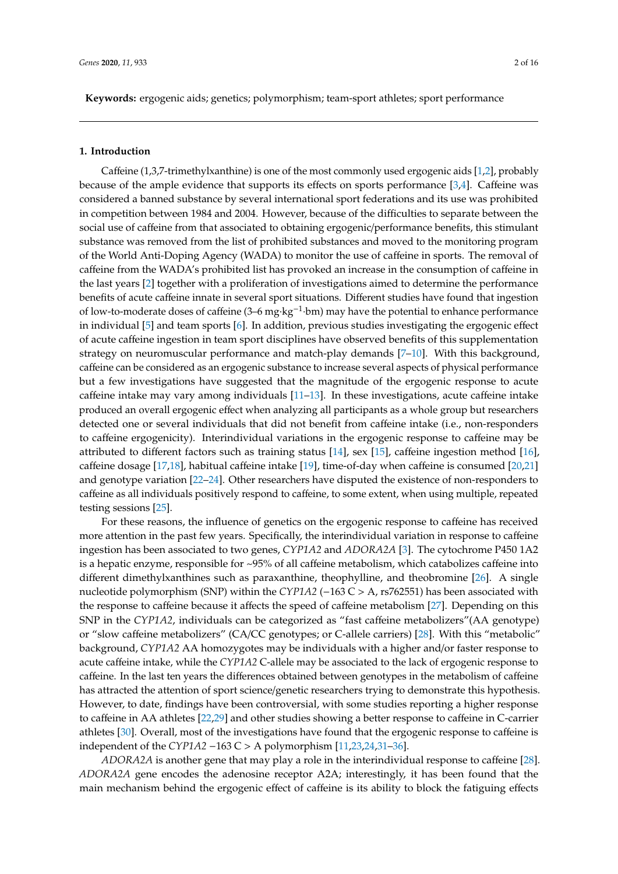**Keywords:** ergogenic aids; genetics; polymorphism; team-sport athletes; sport performance

#### **1. Introduction**

Caffeine (1,3,7-trimethylxanthine) is one of the most commonly used ergogenic aids [\[1](#page-12-0)[,2\]](#page-12-1), probably because of the ample evidence that supports its effects on sports performance  $[3,4]$  $[3,4]$ . Caffeine was considered a banned substance by several international sport federations and its use was prohibited in competition between 1984 and 2004. However, because of the difficulties to separate between the social use of caffeine from that associated to obtaining ergogenic/performance benefits, this stimulant substance was removed from the list of prohibited substances and moved to the monitoring program of the World Anti-Doping Agency (WADA) to monitor the use of caffeine in sports. The removal of caffeine from the WADA's prohibited list has provoked an increase in the consumption of caffeine in the last years [\[2\]](#page-12-1) together with a proliferation of investigations aimed to determine the performance benefits of acute caffeine innate in several sport situations. Different studies have found that ingestion of low-to-moderate doses of caffeine (3–6 mg·kg−<sup>1</sup> ·bm) may have the potential to enhance performance in individual [\[5\]](#page-12-4) and team sports [\[6\]](#page-12-5). In addition, previous studies investigating the ergogenic effect of acute caffeine ingestion in team sport disciplines have observed benefits of this supplementation strategy on neuromuscular performance and match-play demands [\[7](#page-12-6)[–10\]](#page-12-7). With this background, caffeine can be considered as an ergogenic substance to increase several aspects of physical performance but a few investigations have suggested that the magnitude of the ergogenic response to acute caffeine intake may vary among individuals [\[11](#page-12-8)[–13\]](#page-12-9). In these investigations, acute caffeine intake produced an overall ergogenic effect when analyzing all participants as a whole group but researchers detected one or several individuals that did not benefit from caffeine intake (i.e., non-responders to caffeine ergogenicity). Interindividual variations in the ergogenic response to caffeine may be attributed to different factors such as training status [\[14\]](#page-12-10), sex [\[15\]](#page-13-0), caffeine ingestion method [\[16\]](#page-13-1), caffeine dosage [\[17,](#page-13-2)[18\]](#page-13-3), habitual caffeine intake [\[19\]](#page-13-4), time-of-day when caffeine is consumed [\[20](#page-13-5)[,21\]](#page-13-6) and genotype variation [\[22–](#page-13-7)[24\]](#page-13-8). Other researchers have disputed the existence of non-responders to caffeine as all individuals positively respond to caffeine, to some extent, when using multiple, repeated testing sessions [\[25\]](#page-13-9).

For these reasons, the influence of genetics on the ergogenic response to caffeine has received more attention in the past few years. Specifically, the interindividual variation in response to caffeine ingestion has been associated to two genes, *CYP1A2* and *ADORA2A* [\[3\]](#page-12-2). The cytochrome P450 1A2 is a hepatic enzyme, responsible for ~95% of all caffeine metabolism, which catabolizes caffeine into different dimethylxanthines such as paraxanthine, theophylline, and theobromine [\[26\]](#page-13-10). A single nucleotide polymorphism (SNP) within the *CYP1A2* (−163 C > A, rs762551) has been associated with the response to caffeine because it affects the speed of caffeine metabolism [\[27\]](#page-13-11). Depending on this SNP in the *CYP1A2*, individuals can be categorized as "fast caffeine metabolizers"(AA genotype) or "slow caffeine metabolizers" (CA/CC genotypes; or C-allele carriers) [\[28\]](#page-13-12). With this "metabolic" background, *CYP1A2* AA homozygotes may be individuals with a higher and/or faster response to acute caffeine intake, while the *CYP1A2* C-allele may be associated to the lack of ergogenic response to caffeine. In the last ten years the differences obtained between genotypes in the metabolism of caffeine has attracted the attention of sport science/genetic researchers trying to demonstrate this hypothesis. However, to date, findings have been controversial, with some studies reporting a higher response to caffeine in AA athletes [\[22](#page-13-7)[,29\]](#page-13-13) and other studies showing a better response to caffeine in C-carrier athletes [\[30\]](#page-13-14). Overall, most of the investigations have found that the ergogenic response to caffeine is independent of the *CYP1A2* −163 C > A polymorphism [\[11,](#page-12-8)[23,](#page-13-15)[24,](#page-13-8)[31–](#page-13-16)[36\]](#page-14-0).

*ADORA2A* is another gene that may play a role in the interindividual response to caffeine [\[28\]](#page-13-12). *ADORA2A* gene encodes the adenosine receptor A2A; interestingly, it has been found that the main mechanism behind the ergogenic effect of caffeine is its ability to block the fatiguing effects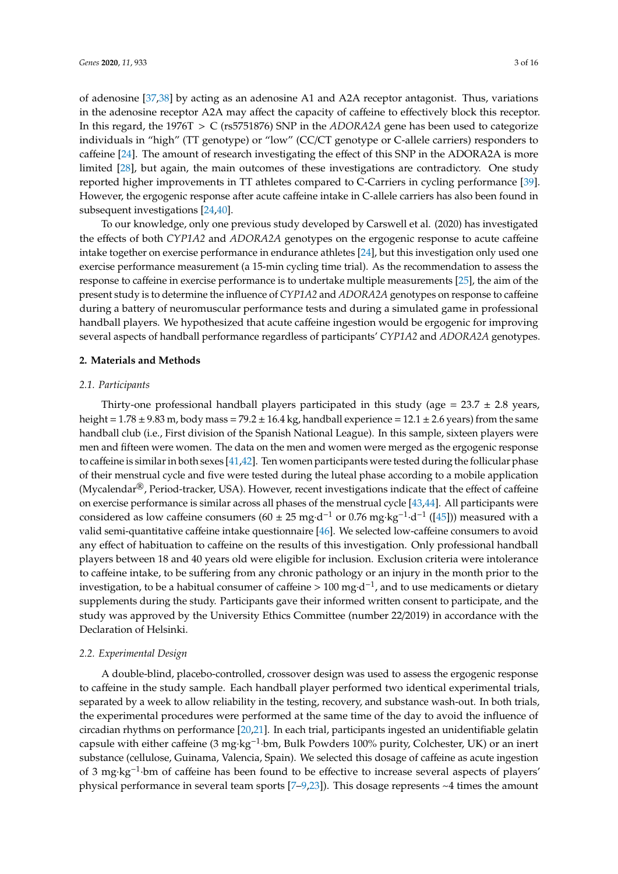of adenosine [\[37,](#page-14-1)[38\]](#page-14-2) by acting as an adenosine A1 and A2A receptor antagonist. Thus, variations in the adenosine receptor A2A may affect the capacity of caffeine to effectively block this receptor. In this regard, the 1976T > C (rs5751876) SNP in the *ADORA2A* gene has been used to categorize individuals in "high" (TT genotype) or "low" (CC/CT genotype or C-allele carriers) responders to caffeine [\[24\]](#page-13-8). The amount of research investigating the effect of this SNP in the ADORA2A is more limited [\[28\]](#page-13-12), but again, the main outcomes of these investigations are contradictory. One study reported higher improvements in TT athletes compared to C-Carriers in cycling performance [\[39\]](#page-14-3). However, the ergogenic response after acute caffeine intake in C-allele carriers has also been found in subsequent investigations [\[24,](#page-13-8)[40\]](#page-14-4).

To our knowledge, only one previous study developed by Carswell et al. (2020) has investigated the effects of both *CYP1A2* and *ADORA2A* genotypes on the ergogenic response to acute caffeine intake together on exercise performance in endurance athletes [\[24\]](#page-13-8), but this investigation only used one exercise performance measurement (a 15-min cycling time trial). As the recommendation to assess the response to caffeine in exercise performance is to undertake multiple measurements [\[25\]](#page-13-9), the aim of the present study is to determine the influence of *CYP1A2* and *ADORA2A* genotypes on response to caffeine during a battery of neuromuscular performance tests and during a simulated game in professional handball players. We hypothesized that acute caffeine ingestion would be ergogenic for improving several aspects of handball performance regardless of participants' *CYP1A2* and *ADORA2A* genotypes.

#### **2. Materials and Methods**

#### *2.1. Participants*

Thirty-one professional handball players participated in this study (age =  $23.7 \pm 2.8$  years, height =  $1.78 \pm 9.83$  m, body mass =  $79.2 \pm 16.4$  kg, handball experience =  $12.1 \pm 2.6$  years) from the same handball club (i.e., First division of the Spanish National League). In this sample, sixteen players were men and fifteen were women. The data on the men and women were merged as the ergogenic response to caffeine is similar in both sexes [\[41,](#page-14-5)[42\]](#page-14-6). Ten women participants were tested during the follicular phase of their menstrual cycle and five were tested during the luteal phase according to a mobile application (Mycalendar®, Period-tracker, USA). However, recent investigations indicate that the effect of caffeine on exercise performance is similar across all phases of the menstrual cycle [\[43](#page-14-7)[,44\]](#page-14-8). All participants were considered as low caffeine consumers ( $60 \pm 25$  mg·d<sup>-1</sup> or 0.76 mg·kg<sup>-1</sup>·d<sup>-1</sup> ([\[45\]](#page-14-9))) measured with a valid semi-quantitative caffeine intake questionnaire [\[46\]](#page-14-10). We selected low-caffeine consumers to avoid any effect of habituation to caffeine on the results of this investigation. Only professional handball players between 18 and 40 years old were eligible for inclusion. Exclusion criteria were intolerance to caffeine intake, to be suffering from any chronic pathology or an injury in the month prior to the investigation, to be a habitual consumer of caffeine > 100 mg·d<sup>-1</sup>, and to use medicaments or dietary supplements during the study. Participants gave their informed written consent to participate, and the study was approved by the University Ethics Committee (number 22/2019) in accordance with the Declaration of Helsinki.

#### *2.2. Experimental Design*

A double-blind, placebo-controlled, crossover design was used to assess the ergogenic response to caffeine in the study sample. Each handball player performed two identical experimental trials, separated by a week to allow reliability in the testing, recovery, and substance wash-out. In both trials, the experimental procedures were performed at the same time of the day to avoid the influence of circadian rhythms on performance [\[20](#page-13-5)[,21\]](#page-13-6). In each trial, participants ingested an unidentifiable gelatin capsule with either caffeine (3 mg·kg−<sup>1</sup> ·bm, Bulk Powders 100% purity, Colchester, UK) or an inert substance (cellulose, Guinama, Valencia, Spain). We selected this dosage of caffeine as acute ingestion of 3 mg·kg−<sup>1</sup> ·bm of caffeine has been found to be effective to increase several aspects of players' physical performance in several team sports  $[7–9,23]$  $[7–9,23]$  $[7–9,23]$ ). This dosage represents  $~4$  times the amount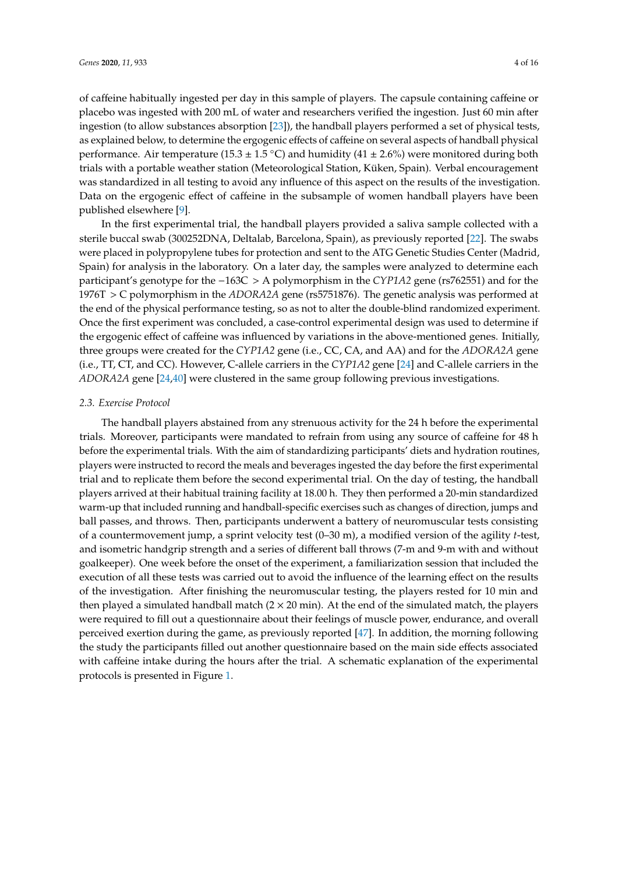of caffeine habitually ingested per day in this sample of players. The capsule containing caffeine or placebo was ingested with 200 mL of water and researchers verified the ingestion. Just 60 min after ingestion (to allow substances absorption [\[23\]](#page-13-15)), the handball players performed a set of physical tests, as explained below, to determine the ergogenic effects of caffeine on several aspects of handball physical performance. Air temperature (15.3  $\pm$  1.5 °C) and humidity (41  $\pm$  2.6%) were monitored during both trials with a portable weather station (Meteorological Station, Küken, Spain). Verbal encouragement was standardized in all testing to avoid any influence of this aspect on the results of the investigation. Data on the ergogenic effect of caffeine in the subsample of women handball players have been published elsewhere [\[9\]](#page-12-11).

In the first experimental trial, the handball players provided a saliva sample collected with a sterile buccal swab (300252DNA, Deltalab, Barcelona, Spain), as previously reported [\[22\]](#page-13-7). The swabs were placed in polypropylene tubes for protection and sent to the ATG Genetic Studies Center (Madrid, Spain) for analysis in the laboratory. On a later day, the samples were analyzed to determine each participant's genotype for the −163C > A polymorphism in the *CYP1A2* gene (rs762551) and for the 1976T > C polymorphism in the *ADORA2A* gene (rs5751876). The genetic analysis was performed at the end of the physical performance testing, so as not to alter the double-blind randomized experiment. Once the first experiment was concluded, a case-control experimental design was used to determine if the ergogenic effect of caffeine was influenced by variations in the above-mentioned genes. Initially, three groups were created for the *CYP1A2* gene (i.e., CC, CA, and AA) and for the *ADORA2A* gene (i.e., TT, CT, and CC). However, C-allele carriers in the *CYP1A2* gene [\[24\]](#page-13-8) and C-allele carriers in the *ADORA2A* gene [\[24,](#page-13-8)[40\]](#page-14-4) were clustered in the same group following previous investigations.

# *2.3. Exercise Protocol*

The handball players abstained from any strenuous activity for the 24 h before the experimental trials. Moreover, participants were mandated to refrain from using any source of caffeine for 48 h before the experimental trials. With the aim of standardizing participants' diets and hydration routines, players were instructed to record the meals and beverages ingested the day before the first experimental trial and to replicate them before the second experimental trial. On the day of testing, the handball players arrived at their habitual training facility at 18.00 h. They then performed a 20-min standardized warm-up that included running and handball-specific exercises such as changes of direction, jumps and ball passes, and throws. Then, participants underwent a battery of neuromuscular tests consisting of a countermovement jump, a sprint velocity test (0–30 m), a modified version of the agility *t*-test, and isometric handgrip strength and a series of different ball throws (7-m and 9-m with and without goalkeeper). One week before the onset of the experiment, a familiarization session that included the execution of all these tests was carried out to avoid the influence of the learning effect on the results of the investigation. After finishing the neuromuscular testing, the players rested for 10 min and then played a simulated handball match  $(2 \times 20 \text{ min})$ . At the end of the simulated match, the players were required to fill out a questionnaire about their feelings of muscle power, endurance, and overall perceived exertion during the game, as previously reported [\[47\]](#page-14-11). In addition, the morning following the study the participants filled out another questionnaire based on the main side effects associated with caffeine intake during the hours after the trial. A schematic explanation of the experimental protocols is presented in Figure [1.](#page-4-0)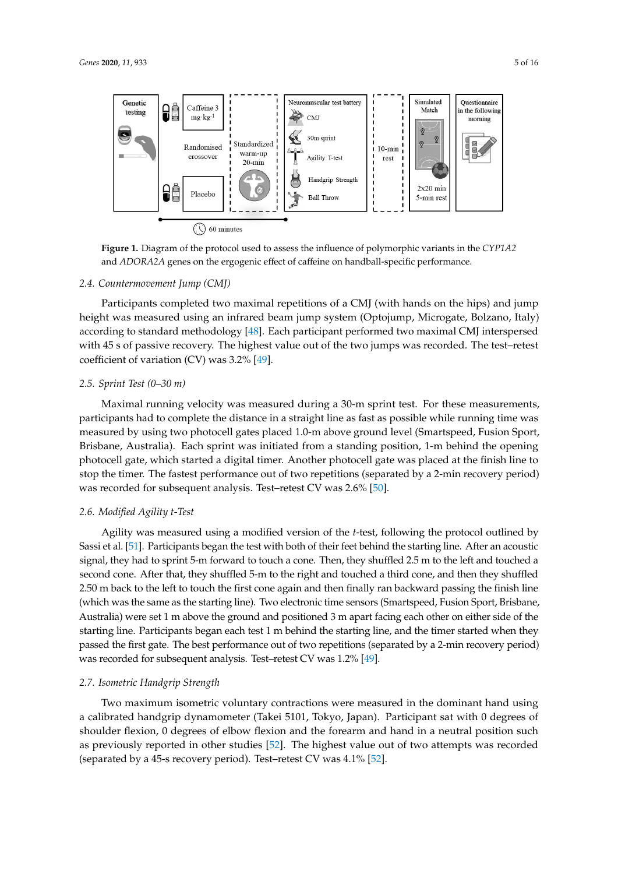<span id="page-4-0"></span>

**Figure 1.** Diagram of the protocol used to assess the influence of polymorphic variants in the CYP1A2 and *ADORA2A* genes on the ergogenic effect of caffeine on handball-specific performance. and *ADORA2A* genes on the ergogenic effect of caffeine on handball-specific performance.

#### *2.4. Countermovement Jump (CMJ)*

Participants completed two maximal repetitions of a CMJ (with hands on the hips) and jump height was measured using an infrared beam jump system (Optojump, Microgate, Bolzano, Italy) according to standard methodology [\[48\]](#page-14-12). Each participant performed two maximal CMJ interspersed with 45 s of passive recovery. The highest value out of the two jumps was recorded. The test–retest coefficient of variation (CV) was 3.2% [\[49\]](#page-14-13).

## *2.5. Sprint Test (0–30 m)*

Maximal running velocity was measured during a 30-m sprint test. For these measurements, participants had to complete the distance in a straight line as fast as possible while running time was measured by using two photocell gates placed 1.0-m above ground level (Smartspeed, Fusion Sport, Brisbane, Australia). Each sprint was initiated from a standing position, 1-m behind the opening photocell gate, which started a digital timer. Another photocell gate was placed at the finish line to stop the timer. The fastest performance out of two repetitions (separated by a 2-min recovery period) was recorded for subsequent analysis. Test–retest CV was 2.6% [\[50\]](#page-14-14).

#### *2.6. Modified Agility t-Test*

Agility was measured using a modified version of the *t*-test, following the protocol outlined by Sassi et al. [\[51\]](#page-14-15). Participants began the test with both of their feet behind the starting line. After an acoustic signal, they had to sprint 5-m forward to touch a cone. Then, they shuffled 2.5 m to the left and touched a second cone. After that, they shuffled 5-m to the right and touched a third cone, and then they shuffled 2.50 m back to the left to touch the first cone again and then finally ran backward passing the finish line (which was the same as the starting line). Two electronic time sensors (Smartspeed, Fusion Sport, Brisbane, Australia) were set 1 m above the ground and positioned 3 m apart facing each other on either side of the starting line. Participants began each test 1 m behind the starting line, and the timer started when they passed the first gate. The best performance out of two repetitions (separated by a 2-min recovery period) was recorded for subsequent analysis. Test–retest CV was 1.2% [\[49\]](#page-14-13).

#### *2.7. Isometric Handgrip Strength*

Two maximum isometric voluntary contractions were measured in the dominant hand using a calibrated handgrip dynamometer (Takei 5101, Tokyo, Japan). Participant sat with 0 degrees of shoulder flexion, 0 degrees of elbow flexion and the forearm and hand in a neutral position such as previously reported in other studies [\[52\]](#page-14-16). The highest value out of two attempts was recorded (separated by a 45-s recovery period). Test–retest CV was 4.1% [\[52\]](#page-14-16).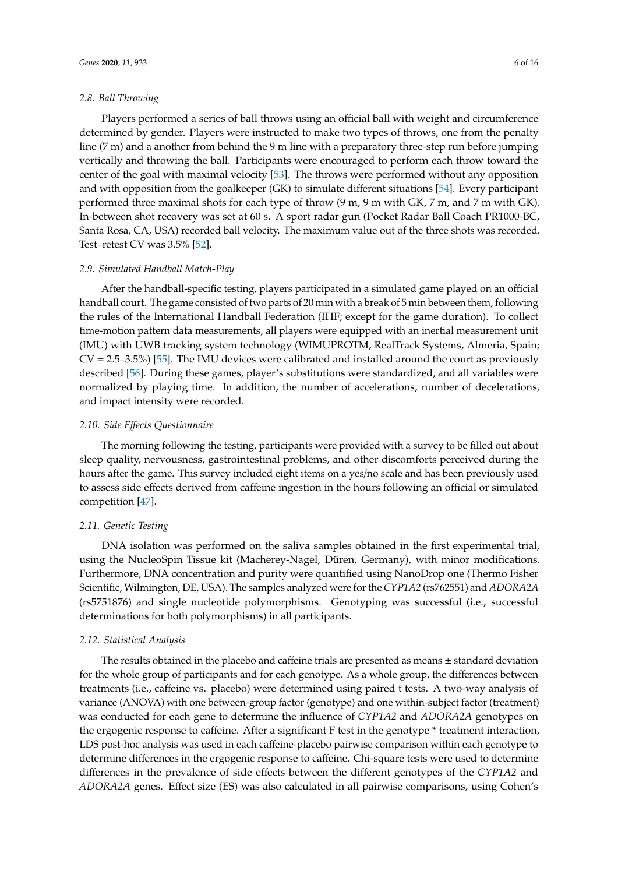#### *2.8. Ball Throwing*

Players performed a series of ball throws using an official ball with weight and circumference determined by gender. Players were instructed to make two types of throws, one from the penalty line (7 m) and a another from behind the 9 m line with a preparatory three-step run before jumping vertically and throwing the ball. Participants were encouraged to perform each throw toward the center of the goal with maximal velocity [\[53\]](#page-14-17). The throws were performed without any opposition and with opposition from the goalkeeper (GK) to simulate different situations [\[54\]](#page-14-18). Every participant performed three maximal shots for each type of throw (9 m, 9 m with GK, 7 m, and 7 m with GK). In-between shot recovery was set at 60 s. A sport radar gun (Pocket Radar Ball Coach PR1000-BC, Santa Rosa, CA, USA) recorded ball velocity. The maximum value out of the three shots was recorded. Test–retest CV was 3.5% [\[52\]](#page-14-16).

#### *2.9. Simulated Handball Match-Play*

After the handball-specific testing, players participated in a simulated game played on an official handball court. The game consisted of two parts of 20 min with a break of 5 min between them, following the rules of the International Handball Federation (IHF; except for the game duration). To collect time-motion pattern data measurements, all players were equipped with an inertial measurement unit (IMU) with UWB tracking system technology (WIMUPROTM, RealTrack Systems, Almeria, Spain;  $CV = 2.5-3.5\%$  [\[55\]](#page-14-19). The IMU devices were calibrated and installed around the court as previously described [\[56\]](#page-15-0). During these games, player's substitutions were standardized, and all variables were normalized by playing time. In addition, the number of accelerations, number of decelerations, and impact intensity were recorded.

## *2.10. Side E*ff*ects Questionnaire*

The morning following the testing, participants were provided with a survey to be filled out about sleep quality, nervousness, gastrointestinal problems, and other discomforts perceived during the hours after the game. This survey included eight items on a yes/no scale and has been previously used to assess side effects derived from caffeine ingestion in the hours following an official or simulated competition [\[47\]](#page-14-11).

## *2.11. Genetic Testing*

DNA isolation was performed on the saliva samples obtained in the first experimental trial, using the NucleoSpin Tissue kit (Macherey-Nagel, Düren, Germany), with minor modifications. Furthermore, DNA concentration and purity were quantified using NanoDrop one (Thermo Fisher Scientific, Wilmington, DE, USA). The samples analyzed were for the *CYP1A2* (rs762551) and *ADORA2A* (rs5751876) and single nucleotide polymorphisms. Genotyping was successful (i.e., successful determinations for both polymorphisms) in all participants.

# *2.12. Statistical Analysis*

The results obtained in the placebo and caffeine trials are presented as means  $\pm$  standard deviation for the whole group of participants and for each genotype. As a whole group, the differences between treatments (i.e., caffeine vs. placebo) were determined using paired t tests. A two-way analysis of variance (ANOVA) with one between-group factor (genotype) and one within-subject factor (treatment) was conducted for each gene to determine the influence of *CYP1A2* and *ADORA2A* genotypes on the ergogenic response to caffeine. After a significant F test in the genotype \* treatment interaction, LDS post-hoc analysis was used in each caffeine-placebo pairwise comparison within each genotype to determine differences in the ergogenic response to caffeine. Chi-square tests were used to determine differences in the prevalence of side effects between the different genotypes of the *CYP1A2* and *ADORA2A* genes. Effect size (ES) was also calculated in all pairwise comparisons, using Cohen's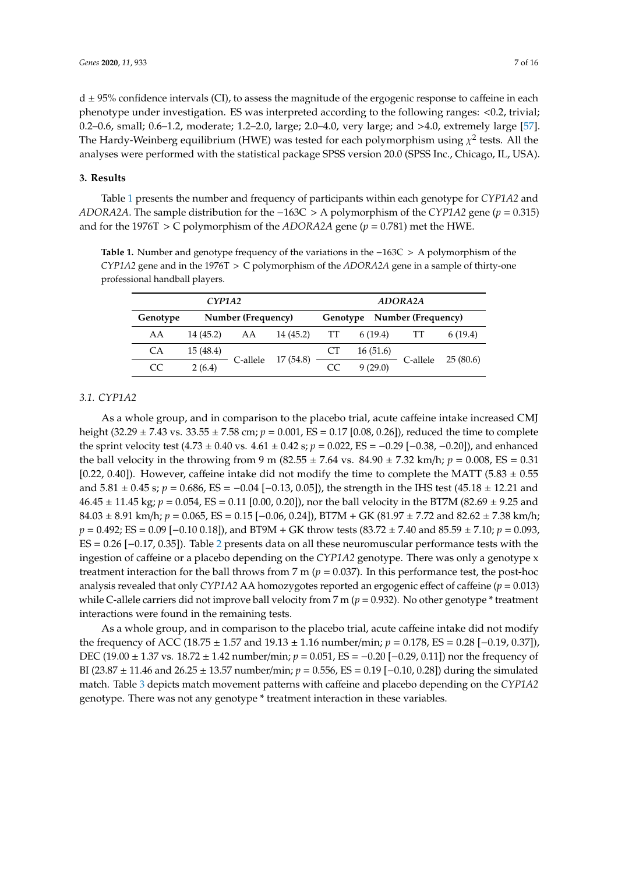$d \pm 95\%$  confidence intervals (CI), to assess the magnitude of the ergogenic response to caffeine in each phenotype under investigation. ES was interpreted according to the following ranges: <0.2, trivial; 0.2–0.6, small; 0.6–1.2, moderate; 1.2–2.0, large; 2.0–4.0, very large; and >4.0, extremely large [\[57\]](#page-15-1).

The Hardy-Weinberg equilibrium (HWE) was tested for each polymorphism using  $\chi^2$  tests. All the analyses were performed with the statistical package SPSS version 20.0 (SPSS Inc., Chicago, IL, USA).

# **3. Results**

Table [1](#page-6-0) presents the number and frequency of participants within each genotype for *CYP1A2* and *ADORA2A*. The sample distribution for the −163C > A polymorphism of the *CYP1A2* gene (*p* = 0.315) and for the 1976T > C polymorphism of the *ADORA2A* gene (*p* = 0.781) met the HWE.

<span id="page-6-0"></span>**Table 1.** Number and genotype frequency of the variations in the −163C > A polymorphism of the *CYP1A2* gene and in the 1976T > C polymorphism of the *ADORA2A* gene in a sample of thirty-one professional handball players.

| CYP1A2   |                    |          |           | ADORA2A                     |          |          |          |  |
|----------|--------------------|----------|-----------|-----------------------------|----------|----------|----------|--|
| Genotype | Number (Frequency) |          |           | Genotype Number (Frequency) |          |          |          |  |
| AA       | 14 (45.2)          | AA       | 14 (45.2) | TT                          | 6(19.4)  |          | 6(19.4)  |  |
| СA       | 15 (48.4)          |          | 17 (54.8) | СT                          | 16(51.6) |          |          |  |
| CC       | 2(6.4)             | C-allele |           | CC                          | 9(29.0)  | C-allele | 25(80.6) |  |

## *3.1. CYP1A2*

As a whole group, and in comparison to the placebo trial, acute caffeine intake increased CMJ height (32.29 ± 7.43 vs. 33.55 ± 7.58 cm; *p* = 0.001, ES = 0.17 [0.08, 0.26]), reduced the time to complete the sprint velocity test (4.73 ± 0.40 vs. 4.61 ± 0.42 s; *p* = 0.022, ES = −0.29 [−0.38, −0.20]), and enhanced the ball velocity in the throwing from 9 m (82.55  $\pm$  7.64 vs. 84.90  $\pm$  7.32 km/h;  $p = 0.008$ , ES = 0.31 [0.22, 0.40]). However, caffeine intake did not modify the time to complete the MATT (5.83  $\pm$  0.55 and 5.81 ± 0.45 s; *p* = 0.686, ES = −0.04 [−0.13, 0.05]), the strength in the IHS test (45.18 ± 12.21 and 46.45 ± 11.45 kg; *p* = 0.054, ES = 0.11 [0.00, 0.20]), nor the ball velocity in the BT7M (82.69 ± 9.25 and 84.03 ± 8.91 km/h; *p* = 0.065, ES = 0.15 [−0.06, 0.24]), BT7M + GK (81.97 ± 7.72 and 82.62 ± 7.38 km/h; *p* = 0.492; ES = 0.09 [−0.10 0.18]), and BT9M + GK throw tests (83.72 ± 7.40 and 85.59 ± 7.10; *p* = 0.093, ES = 0.26 [−0.17, 0.35]). Table [2](#page-7-0) presents data on all these neuromuscular performance tests with the ingestion of caffeine or a placebo depending on the *CYP1A2* genotype. There was only a genotype x treatment interaction for the ball throws from 7 m ( $p = 0.037$ ). In this performance test, the post-hoc analysis revealed that only *CYP1A2* AA homozygotes reported an ergogenic effect of caffeine (*p* = 0.013) while C-allele carriers did not improve ball velocity from 7 m ( $p = 0.932$ ). No other genotype \* treatment interactions were found in the remaining tests.

As a whole group, and in comparison to the placebo trial, acute caffeine intake did not modify the frequency of ACC (18.75 ± 1.57 and 19.13 ± 1.16 number/min; *p* = 0.178, ES = 0.28 [−0.19, 0.37]), DEC (19.00 ± 1.37 vs. 18.72 ± 1.42 number/min; *p* = 0.051, ES = −0.20 [−0.29, 0.11]) nor the frequency of BI (23.87 ± 11.46 and 26.25 ± 13.57 number/min; *p* = 0.556, ES = 0.19 [−0.10, 0.28]) during the simulated match. Table [3](#page-7-1) depicts match movement patterns with caffeine and placebo depending on the *CYP1A2* genotype. There was not any genotype \* treatment interaction in these variables.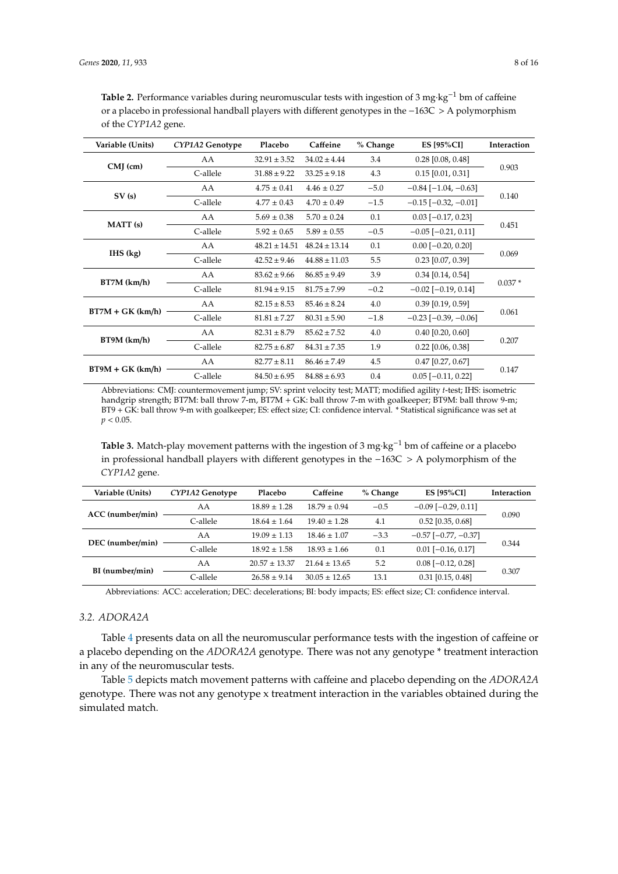| Variable (Units)   | CYP1A2 Genotype | Placebo           | Caffeine          | % Change | <b>ES [95%CI]</b>             | Interaction |  |
|--------------------|-----------------|-------------------|-------------------|----------|-------------------------------|-------------|--|
|                    | AA              | $32.91 \pm 3.52$  | $34.02 \pm 4.44$  | 3.4      | $0.28$ [0.08, 0.48]           |             |  |
| $CMJ$ (cm)         | C-allele        | $31.88 \pm 9.22$  | $33.25 \pm 9.18$  | 4.3      | $0.15$ [0.01, 0.31]           | 0.903       |  |
|                    | AA              | $4.75 \pm 0.41$   | $4.46 + 0.27$     | $-5.0$   | $-0.84$ [ $-1.04$ , $-0.63$ ] |             |  |
| SV(s)              | C-allele        | $4.77 \pm 0.43$   | $4.70 \pm 0.49$   | $-1.5$   | $-0.15$ [ $-0.32$ , $-0.01$ ] | 0.140       |  |
|                    | AA              | $5.69 \pm 0.38$   | $5.70 \pm 0.24$   | 0.1      | $0.03$ [ $-0.17$ , 0.23]      |             |  |
| MATT (s)           | C-allele        | $5.92 \pm 0.65$   | $5.89 \pm 0.55$   | $-0.5$   | $-0.05$ [ $-0.21$ , 0.11]     | 0.451       |  |
| $IHS$ (kg)         | AA              | $48.21 \pm 14.51$ | $48.24 \pm 13.14$ | 0.1      | $0.00$ [ $-0.20$ , $0.20$ ]   |             |  |
|                    | C-allele        | $42.52 \pm 9.46$  | $44.88 \pm 11.03$ | 5.5      | $0.23$ [0.07, 0.39]           | 0.069       |  |
|                    | AA              | $83.62 \pm 9.66$  | $86.85 \pm 9.49$  | 3.9      | $0.34$ [0.14, 0.54]           |             |  |
| $BT7M$ (km/h)      | C-allele        | $81.94 \pm 9.15$  | $81.75 \pm 7.99$  | $-0.2$   | $-0.02$ [ $-0.19$ , 0.14]     | $0.037*$    |  |
| $BT7M + GK (km/h)$ | AA              | $82.15 \pm 8.53$  | $85.46 \pm 8.24$  | 4.0      | $0.39$ [0.19, 0.59]           |             |  |
|                    | C-allele        | $81.81 \pm 7.27$  | $80.31 \pm 5.90$  | $-1.8$   | $-0.23$ [ $-0.39$ , $-0.06$ ] | 0.061       |  |
|                    | AA              | $82.31 \pm 8.79$  | $85.62 \pm 7.52$  | 4.0      | $0.40$ [0.20, 0.60]           |             |  |
| $BT9M$ (km/h)      | C-allele        | $82.75 \pm 6.87$  | $84.31 \pm 7.35$  | 1.9      | $0.22$ [0.06, 0.38]           | 0.207       |  |
|                    | AA              | $82.77 \pm 8.11$  | $86.46 \pm 7.49$  | 4.5      | $0.47$ [0.27, 0.67]           |             |  |
| $BT9M + GK (km/h)$ | C-allele        | $84.50 \pm 6.95$  | $84.88 \pm 6.93$  | 0.4      | $0.05$ [ $-0.11$ , $0.22$ ]   | 0.147       |  |

<span id="page-7-0"></span>Table 2. Performance variables during neuromuscular tests with ingestion of 3 mg·kg<sup>-1</sup> bm of caffeine or a placebo in professional handball players with different genotypes in the −163C > A polymorphism of the *CYP1A2* gene.

Abbreviations: CMJ: countermovement jump; SV: sprint velocity test; MATT; modified agility *t*-test; IHS: isometric handgrip strength; BT7M: ball throw 7-m, BT7M + GK: ball throw 7-m with goalkeeper; BT9M: ball throw 9-m; BT9 + GK: ball throw 9-m with goalkeeper; ES: effect size; CI: confidence interval. \* Statistical significance was set at  $p < 0.05$ .

<span id="page-7-1"></span>**Table 3.** Match-play movement patterns with the ingestion of 3 mg·kg−<sup>1</sup> bm of caffeine or a placebo in professional handball players with different genotypes in the −163C > A polymorphism of the *CYP1A2* gene.

| Variable (Units) | CYP1A2 Genotype                                      | Placebo           | Caffeine                   | % Change | <b>ES [95%CI]</b>         | <b>Interaction</b> |  |
|------------------|------------------------------------------------------|-------------------|----------------------------|----------|---------------------------|--------------------|--|
| ACC (number/min) | AA                                                   | $18.89 \pm 1.28$  | $18.79 \pm 0.94$           | $-0.5$   | $-0.09$ [ $-0.29$ , 0.11] |                    |  |
|                  | C-allele                                             | $18.64 \pm 1.64$  | $19.40 \pm 1.28$           | 4.1      | $0.52$ [0.35, 0.68]       | 0.090              |  |
|                  | $-3.3$<br>AA<br>$19.09 \pm 1.13$<br>$18.46 \pm 1.07$ |                   | $-0.57$ [ $-0.77, -0.37$ ] |          |                           |                    |  |
| DEC (number/min) | C-allele                                             | $18.92 \pm 1.58$  | $18.93 \pm 1.66$           | 0.1      | $0.01$ [-0.16, 0.17]      | 0.344              |  |
|                  | AA                                                   | $20.57 \pm 13.37$ | $21.64 \pm 13.65$          | 5.2      | $0.08$ [ $-0.12$ , 0.28]  |                    |  |
| BI (number/min)  | C-allele                                             | $26.58 \pm 9.14$  | $30.05 \pm 12.65$          | 13.1     | $0.31$ [0.15, 0.48]       | 0.307              |  |

Abbreviations: ACC: acceleration; DEC: decelerations; BI: body impacts; ES: effect size; CI: confidence interval.

# *3.2. ADORA2A*

Table [4](#page-8-0) presents data on all the neuromuscular performance tests with the ingestion of caffeine or a placebo depending on the *ADORA2A* genotype. There was not any genotype \* treatment interaction in any of the neuromuscular tests.

Table [5](#page-8-1) depicts match movement patterns with caffeine and placebo depending on the *ADORA2A* genotype. There was not any genotype x treatment interaction in the variables obtained during the simulated match.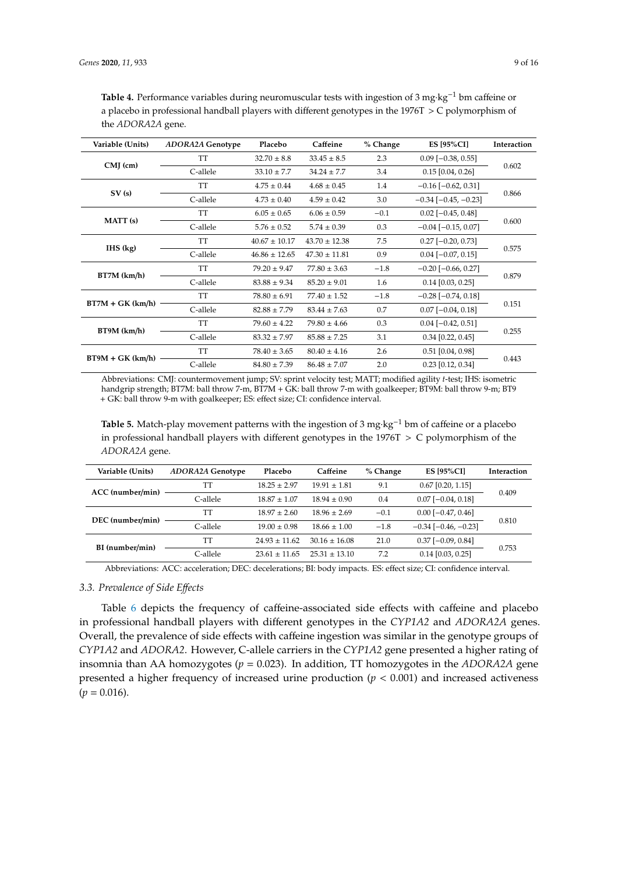| Variable (Units)   | <b>ADORA2A Genotype</b> | Placebo           | Caffeine          | % Change | <b>ES [95%CI]</b>             | Interaction |  |
|--------------------|-------------------------|-------------------|-------------------|----------|-------------------------------|-------------|--|
| $CMJ$ (cm)         | TT                      | $32.70 \pm 8.8$   | $33.45 \pm 8.5$   | 2.3      | $0.09$ [ $-0.38$ , $0.55$ ]   |             |  |
|                    | C-allele                | $33.10 \pm 7.7$   | $34.24 + 7.7$     | 3.4      | $0.15$ [0.04, 0.26]           | 0.602       |  |
|                    | <b>TT</b>               | $4.75 \pm 0.44$   | $4.68 \pm 0.45$   | 1.4      | $-0.16$ [ $-0.62$ , 0.31]     | 0.866       |  |
| SV(s)              | C-allele                | $4.73 \pm 0.40$   | $4.59 \pm 0.42$   | 3.0      | $-0.34$ [ $-0.45$ , $-0.23$ ] |             |  |
|                    | TT                      | $6.05 \pm 0.65$   | $6.06 \pm 0.59$   | $-0.1$   | $0.02$ [-0.45, 0.48]          |             |  |
| MATT (s)           | C-allele                | $5.76 \pm 0.52$   | $5.74 \pm 0.39$   | 0.3      | $-0.04$ [ $-0.15$ , 0.07]     | 0.600       |  |
|                    | TT                      | $40.67 \pm 10.17$ | $43.70 \pm 12.38$ | 7.5      | $0.27$ [-0.20, 0.73]          | 0.575       |  |
| $IHS$ (kg)         | C-allele                | $46.86 \pm 12.65$ | $47.30 \pm 11.81$ | 0.9      | $0.04$ [ $-0.07$ , $0.15$ ]   |             |  |
|                    | <b>TT</b>               | $79.20 \pm 9.47$  | $77.80 \pm 3.63$  | $-1.8$   | $-0.20$ [ $-0.66$ , 0.27]     | 0.879       |  |
| $BT7M$ (km/h)      | C-allele                | $83.88 \pm 9.34$  | $85.20 \pm 9.01$  | 1.6      | $0.14$ [0.03, 0.25]           |             |  |
|                    | TT                      | $78.80 \pm 6.91$  | $77.40 \pm 1.52$  | $-1.8$   | $-0.28$ [ $-0.74$ , 0.18]     |             |  |
| $BT7M + GK (km/h)$ | C-allele                | $82.88 \pm 7.79$  | $83.44 \pm 7.63$  | 0.7      | $0.07$ [ $-0.04$ , $0.18$ ]   | 0.151       |  |
|                    | TT                      | $79.60 \pm 4.22$  | $79.80 \pm 4.66$  | 0.3      | $0.04$ [-0.42, 0.51]          |             |  |
| $BT9M$ (km/h)      | C-allele                | $83.32 \pm 7.97$  | $85.88 \pm 7.25$  | 3.1      | $0.34$ [0.22, 0.45]           | 0.255       |  |
|                    | TT                      | $78.40 \pm 3.65$  | $80.40 \pm 4.16$  | 2.6      | $0.51$ [0.04, 0.98]           |             |  |
| $BT9M + GK (km/h)$ | C-allele                | $84.80 \pm 7.39$  | $86.48 \pm 7.07$  | 2.0      | $0.23$ [0.12, 0.34]           | 0.443       |  |

<span id="page-8-0"></span>**Table 4.** Performance variables during neuromuscular tests with ingestion of 3 mg·kg−<sup>1</sup> bm caffeine or a placebo in professional handball players with different genotypes in the  $1976T > C$  polymorphism of the *ADORA2A* gene.

Abbreviations: CMJ: countermovement jump; SV: sprint velocity test; MATT; modified agility *t*-test; IHS: isometric handgrip strength; BT7M: ball throw 7-m, BT7M + GK: ball throw 7-m with goalkeeper; BT9M: ball throw 9-m; BT9 + GK: ball throw 9-m with goalkeeper; ES: effect size; CI: confidence interval.

<span id="page-8-1"></span>**Table 5.** Match-play movement patterns with the ingestion of 3 mg·kg−<sup>1</sup> bm of caffeine or a placebo in professional handball players with different genotypes in the  $1976T > C$  polymorphism of the *ADORA2A* gene.

| Variable (Units) | <b>ADORA2A Genotype</b> | Placebo          | Caffeine          | % Change | <b>ES [95%CI]</b>             | Interaction |  |
|------------------|-------------------------|------------------|-------------------|----------|-------------------------------|-------------|--|
|                  | TT                      | $18.25 + 2.97$   | $19.91 \pm 1.81$  | 9.1      | $0.67$ [0.20, 1.15]           | 0.409       |  |
| ACC (number/min) | C-allele                | $18.87 \pm 1.07$ | $18.94 \pm 0.90$  | 0.4      | $0.07$ [ $-0.04$ , $0.18$ ]   |             |  |
| DEC (number/min) | TT                      | $18.97 \pm 2.60$ | $18.96 \pm 2.69$  | $-0.1$   | $0.00$ [ $-0.47, 0.46$ ]      |             |  |
|                  | C-allele                | $19.00 \pm 0.98$ | $18.66 \pm 1.00$  | $-1.8$   | $-0.34$ [ $-0.46$ , $-0.23$ ] | 0.810       |  |
| BI (number/min)  | TT                      | $24.93 + 11.62$  | $30.16 \pm 16.08$ | 21.0     | $0.37$ [-0.09, 0.84]          |             |  |
|                  | C-allele                | $23.61 + 11.65$  | $25.31 \pm 13.10$ | 7.2      | $0.14$ [0.03, 0.25]           | 0.753       |  |

Abbreviations: ACC: acceleration; DEC: decelerations; BI: body impacts. ES: effect size; CI: confidence interval.

## *3.3. Prevalence of Side E*ff*ects*

Table [6](#page-9-0) depicts the frequency of caffeine-associated side effects with caffeine and placebo in professional handball players with different genotypes in the *CYP1A2* and *ADORA2A* genes. Overall, the prevalence of side effects with caffeine ingestion was similar in the genotype groups of *CYP1A2* and *ADORA2*. However, C-allele carriers in the *CYP1A2* gene presented a higher rating of insomnia than AA homozygotes ( $p = 0.023$ ). In addition, TT homozygotes in the *ADORA2A* gene presented a higher frequency of increased urine production (*p* < 0.001) and increased activeness  $(p = 0.016)$ .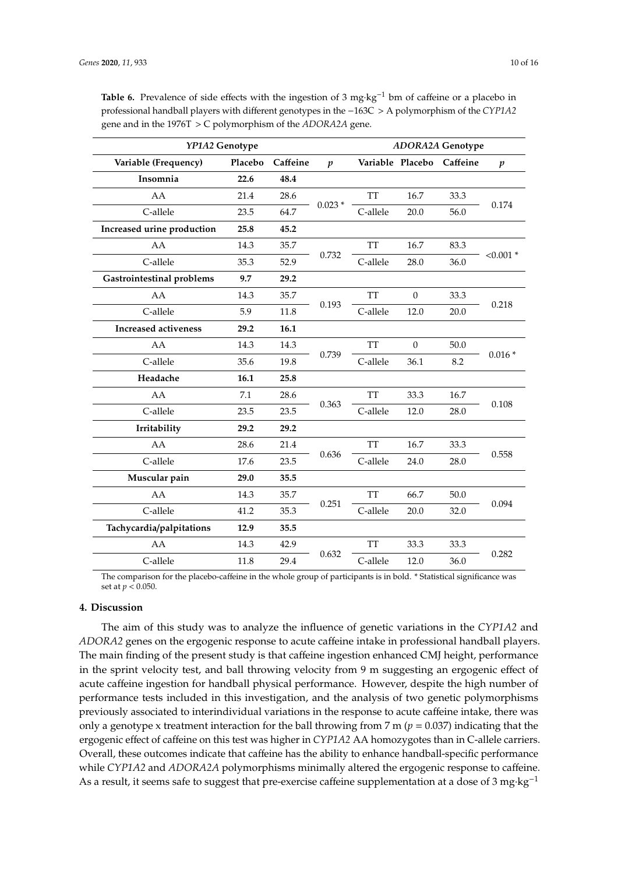| YP1A2 Genotype                   |         |          |                  | <b>ADORA2A Genotype</b> |                  |          |                  |
|----------------------------------|---------|----------|------------------|-------------------------|------------------|----------|------------------|
| Variable (Frequency)             | Placebo | Caffeine | $\boldsymbol{p}$ |                         | Variable Placebo | Caffeine | $\boldsymbol{p}$ |
| Insomnia                         | 22.6    | 48.4     |                  |                         |                  |          |                  |
| AA                               | 21.4    | 28.6     |                  | <b>TT</b>               | 16.7             | 33.3     |                  |
| C-allele                         | 23.5    | 64.7     | $0.023*$         | C-allele                | 20.0             | 56.0     | 0.174            |
| Increased urine production       | 25.8    | 45.2     |                  |                         |                  |          |                  |
| AA                               | 14.3    | 35.7     |                  | <b>TT</b>               | 16.7             | 83.3     |                  |
| C-allele                         | 35.3    | 52.9     | 0.732            | C-allele                | 28.0             | 36.0     | $< 0.001$ *      |
| <b>Gastrointestinal problems</b> | 9.7     | 29.2     |                  |                         |                  |          |                  |
| AA                               | 14.3    | 35.7     | 0.193            | <b>TT</b>               | $\theta$         | 33.3     | 0.218            |
| C-allele                         | 5.9     | 11.8     |                  | C-allele                | 12.0             | 20.0     |                  |
| <b>Increased activeness</b>      | 29.2    | 16.1     |                  |                         |                  |          |                  |
| AA                               | 14.3    | 14.3     |                  | <b>TT</b>               | $\mathbf{0}$     | 50.0     | $0.016*$         |
| C-allele                         | 35.6    | 19.8     | 0.739            | C-allele                | 36.1             | 8.2      |                  |
| Headache                         | 16.1    | 25.8     |                  |                         |                  |          |                  |
| AA                               | 7.1     | 28.6     |                  | <b>TT</b>               | 33.3             | 16.7     | 0.108            |
| C-allele                         | 23.5    | 23.5     | 0.363            | C-allele                | 12.0             | 28.0     |                  |
| Irritability                     | 29.2    | 29.2     |                  |                         |                  |          |                  |
| AA                               | 28.6    | 21.4     |                  | <b>TT</b>               | 16.7             | 33.3     | 0.558            |
| C-allele                         | 17.6    | 23.5     | 0.636            | C-allele                | 24.0             | 28.0     |                  |
| Muscular pain                    | 29.0    | 35.5     |                  |                         |                  |          |                  |
| AA                               | 14.3    | 35.7     |                  | <b>TT</b>               | 66.7             | 50.0     |                  |
| C-allele                         | 41.2    | 35.3     | 0.251            | C-allele                | 20.0             | 32.0     | 0.094            |
| Tachycardia/palpitations         | 12.9    | 35.5     |                  |                         |                  |          |                  |

<span id="page-9-0"></span>Table 6. Prevalence of side effects with the ingestion of 3 mg·kg<sup>-1</sup> bm of caffeine or a placebo in professional handball players with different genotypes in the −163C > A polymorphism of the *CYP1A2* gene and in the 1976T > C polymorphism of the *ADORA2A* gene.

The comparison for the placebo-caffeine in the whole group of participants is in bold. \* Statistical significance was set at *p* < 0.050.

C-allele 11.8 29.4 C-allele 12.0 36.0

0.632

TT 33.3 33.3

0.282

AA 14.3 42.9

## **4. Discussion**

The aim of this study was to analyze the influence of genetic variations in the *CYP1A2* and *ADORA2* genes on the ergogenic response to acute caffeine intake in professional handball players. The main finding of the present study is that caffeine ingestion enhanced CMJ height, performance in the sprint velocity test, and ball throwing velocity from 9 m suggesting an ergogenic effect of acute caffeine ingestion for handball physical performance. However, despite the high number of performance tests included in this investigation, and the analysis of two genetic polymorphisms previously associated to interindividual variations in the response to acute caffeine intake, there was only a genotype x treatment interaction for the ball throwing from 7 m ( $p = 0.037$ ) indicating that the ergogenic effect of caffeine on this test was higher in *CYP1A2* AA homozygotes than in C-allele carriers. Overall, these outcomes indicate that caffeine has the ability to enhance handball-specific performance while *CYP1A2* and *ADORA2A* polymorphisms minimally altered the ergogenic response to caffeine. As a result, it seems safe to suggest that pre-exercise caffeine supplementation at a dose of 3 mg·kg<sup>-1</sup>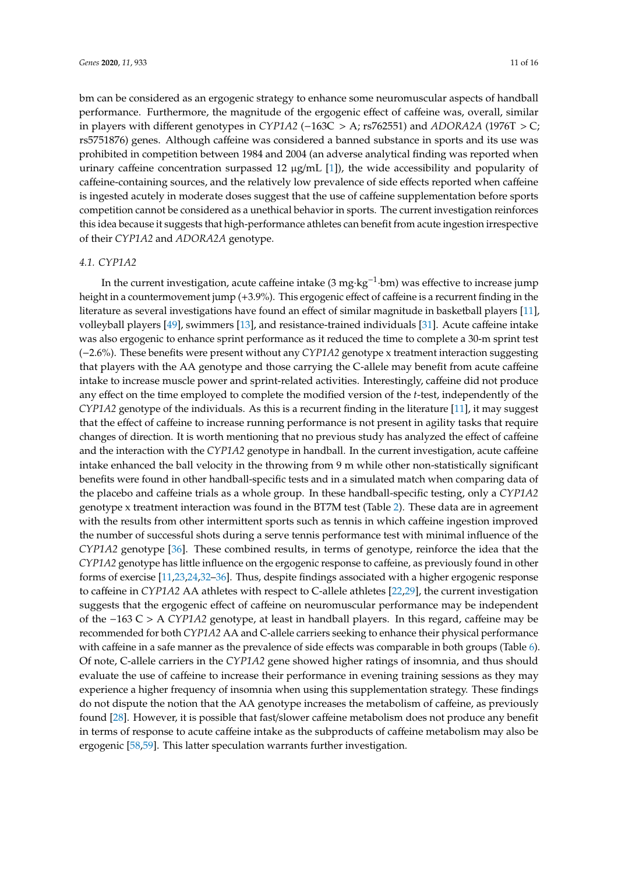bm can be considered as an ergogenic strategy to enhance some neuromuscular aspects of handball performance. Furthermore, the magnitude of the ergogenic effect of caffeine was, overall, similar in players with different genotypes in *CYP1A2* (−163C > A; rs762551) and *ADORA2A* (1976T > C; rs5751876) genes. Although caffeine was considered a banned substance in sports and its use was prohibited in competition between 1984 and 2004 (an adverse analytical finding was reported when urinary caffeine concentration surpassed  $12 \mu g/mL$  [\[1\]](#page-12-0)), the wide accessibility and popularity of caffeine-containing sources, and the relatively low prevalence of side effects reported when caffeine is ingested acutely in moderate doses suggest that the use of caffeine supplementation before sports competition cannot be considered as a unethical behavior in sports. The current investigation reinforces this idea because it suggests that high-performance athletes can benefit from acute ingestion irrespective of their *CYP1A2* and *ADORA2A* genotype.

#### *4.1. CYP1A2*

In the current investigation, acute caffeine intake (3 mg·kg−<sup>1</sup> ·bm) was effective to increase jump height in a countermovement jump (+3.9%). This ergogenic effect of caffeine is a recurrent finding in the literature as several investigations have found an effect of similar magnitude in basketball players [\[11\]](#page-12-8), volleyball players [\[49\]](#page-14-13), swimmers [\[13\]](#page-12-9), and resistance-trained individuals [\[31\]](#page-13-16). Acute caffeine intake was also ergogenic to enhance sprint performance as it reduced the time to complete a 30-m sprint test (−2.6%). These benefits were present without any *CYP1A2* genotype x treatment interaction suggesting that players with the AA genotype and those carrying the C-allele may benefit from acute caffeine intake to increase muscle power and sprint-related activities. Interestingly, caffeine did not produce any effect on the time employed to complete the modified version of the *t*-test, independently of the *CYP1A2* genotype of the individuals. As this is a recurrent finding in the literature [\[11\]](#page-12-8), it may suggest that the effect of caffeine to increase running performance is not present in agility tasks that require changes of direction. It is worth mentioning that no previous study has analyzed the effect of caffeine and the interaction with the *CYP1A2* genotype in handball. In the current investigation, acute caffeine intake enhanced the ball velocity in the throwing from 9 m while other non-statistically significant benefits were found in other handball-specific tests and in a simulated match when comparing data of the placebo and caffeine trials as a whole group. In these handball-specific testing, only a *CYP1A2* genotype x treatment interaction was found in the BT7M test (Table [2\)](#page-7-0). These data are in agreement with the results from other intermittent sports such as tennis in which caffeine ingestion improved the number of successful shots during a serve tennis performance test with minimal influence of the *CYP1A2* genotype [\[36\]](#page-14-0). These combined results, in terms of genotype, reinforce the idea that the *CYP1A2* genotype has little influence on the ergogenic response to caffeine, as previously found in other forms of exercise [\[11](#page-12-8)[,23,](#page-13-15)[24,](#page-13-8)[32](#page-13-17)[–36\]](#page-14-0). Thus, despite findings associated with a higher ergogenic response to caffeine in *CYP1A2* AA athletes with respect to C-allele athletes [\[22,](#page-13-7)[29\]](#page-13-13), the current investigation suggests that the ergogenic effect of caffeine on neuromuscular performance may be independent of the −163 C > A *CYP1A2* genotype, at least in handball players. In this regard, caffeine may be recommended for both *CYP1A2* AA and C-allele carriers seeking to enhance their physical performance with caffeine in a safe manner as the prevalence of side effects was comparable in both groups (Table [6\)](#page-9-0). Of note, C-allele carriers in the *CYP1A2* gene showed higher ratings of insomnia, and thus should evaluate the use of caffeine to increase their performance in evening training sessions as they may experience a higher frequency of insomnia when using this supplementation strategy. These findings do not dispute the notion that the AA genotype increases the metabolism of caffeine, as previously found [\[28\]](#page-13-12). However, it is possible that fast/slower caffeine metabolism does not produce any benefit in terms of response to acute caffeine intake as the subproducts of caffeine metabolism may also be ergogenic [\[58,](#page-15-2)[59\]](#page-15-3). This latter speculation warrants further investigation.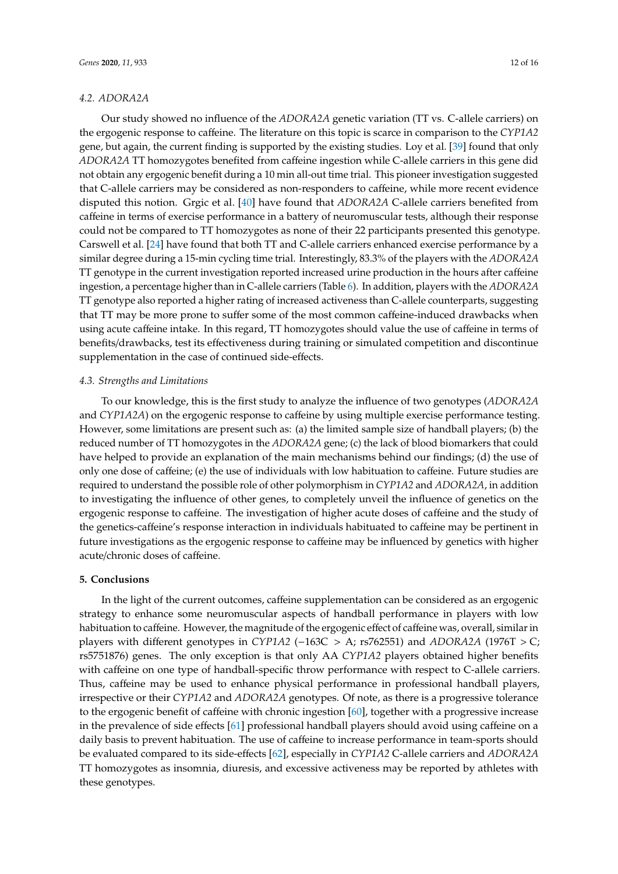Our study showed no influence of the *ADORA2A* genetic variation (TT vs. C-allele carriers) on the ergogenic response to caffeine. The literature on this topic is scarce in comparison to the *CYP1A2* gene, but again, the current finding is supported by the existing studies. Loy et al. [\[39\]](#page-14-3) found that only *ADORA2A* TT homozygotes benefited from caffeine ingestion while C-allele carriers in this gene did not obtain any ergogenic benefit during a 10 min all-out time trial. This pioneer investigation suggested that C-allele carriers may be considered as non-responders to caffeine, while more recent evidence disputed this notion. Grgic et al. [\[40\]](#page-14-4) have found that *ADORA2A* C-allele carriers benefited from caffeine in terms of exercise performance in a battery of neuromuscular tests, although their response could not be compared to TT homozygotes as none of their 22 participants presented this genotype. Carswell et al. [\[24\]](#page-13-8) have found that both TT and C-allele carriers enhanced exercise performance by a similar degree during a 15-min cycling time trial. Interestingly, 83.3% of the players with the *ADORA2A* TT genotype in the current investigation reported increased urine production in the hours after caffeine ingestion, a percentage higher than in C-allele carriers (Table [6\)](#page-9-0). In addition, players with the *ADORA2A* TT genotype also reported a higher rating of increased activeness than C-allele counterparts, suggesting that TT may be more prone to suffer some of the most common caffeine-induced drawbacks when using acute caffeine intake. In this regard, TT homozygotes should value the use of caffeine in terms of benefits/drawbacks, test its effectiveness during training or simulated competition and discontinue supplementation in the case of continued side-effects.

## *4.3. Strengths and Limitations*

To our knowledge, this is the first study to analyze the influence of two genotypes (*ADORA2A* and *CYP1A2A*) on the ergogenic response to caffeine by using multiple exercise performance testing. However, some limitations are present such as: (a) the limited sample size of handball players; (b) the reduced number of TT homozygotes in the *ADORA2A* gene; (c) the lack of blood biomarkers that could have helped to provide an explanation of the main mechanisms behind our findings; (d) the use of only one dose of caffeine; (e) the use of individuals with low habituation to caffeine. Future studies are required to understand the possible role of other polymorphism in *CYP1A2* and *ADORA2A*, in addition to investigating the influence of other genes, to completely unveil the influence of genetics on the ergogenic response to caffeine. The investigation of higher acute doses of caffeine and the study of the genetics-caffeine's response interaction in individuals habituated to caffeine may be pertinent in future investigations as the ergogenic response to caffeine may be influenced by genetics with higher acute/chronic doses of caffeine.

#### **5. Conclusions**

In the light of the current outcomes, caffeine supplementation can be considered as an ergogenic strategy to enhance some neuromuscular aspects of handball performance in players with low habituation to caffeine. However, the magnitude of the ergogenic effect of caffeine was, overall, similar in players with different genotypes in *CYP1A2* (−163C > A; rs762551) and *ADORA2A* (1976T > C; rs5751876) genes. The only exception is that only AA *CYP1A2* players obtained higher benefits with caffeine on one type of handball-specific throw performance with respect to C-allele carriers. Thus, caffeine may be used to enhance physical performance in professional handball players, irrespective or their *CYP1A2* and *ADORA2A* genotypes. Of note, as there is a progressive tolerance to the ergogenic benefit of caffeine with chronic ingestion [\[60\]](#page-15-4), together with a progressive increase in the prevalence of side effects [\[61\]](#page-15-5) professional handball players should avoid using caffeine on a daily basis to prevent habituation. The use of caffeine to increase performance in team-sports should be evaluated compared to its side-effects [\[62\]](#page-15-6), especially in *CYP1A2* C-allele carriers and *ADORA2A* TT homozygotes as insomnia, diuresis, and excessive activeness may be reported by athletes with these genotypes.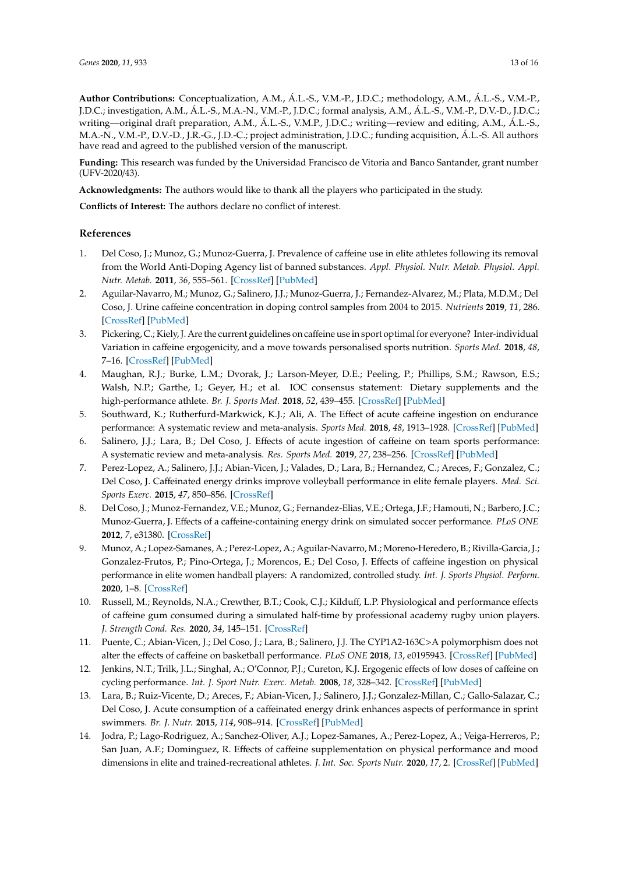**Author Contributions:** Conceptualization, A.M., Á.L.-S., V.M.-P., J.D.C.; methodology, A.M., Á.L.-S., V.M.-P., J.D.C.; investigation, A.M., Á.L.-S., M.A.-N., V.M.-P., J.D.C.; formal analysis, A.M., Á.L.-S., V.M.-P., D.V.-D., J.D.C.; writing—original draft preparation, A.M., Á.L.-S., V.M.P., J.D.C.; writing—review and editing, A.M., Á.L.-S., M.A.-N., V.M.-P., D.V.-D., J.R.-G., J.D.-C.; project administration, J.D.C.; funding acquisition, Á.L.-S. All authors have read and agreed to the published version of the manuscript.

**Funding:** This research was funded by the Universidad Francisco de Vitoria and Banco Santander, grant number (UFV-2020/43).

**Acknowledgments:** The authors would like to thank all the players who participated in the study.

**Conflicts of Interest:** The authors declare no conflict of interest.

## **References**

- <span id="page-12-0"></span>1. Del Coso, J.; Munoz, G.; Munoz-Guerra, J. Prevalence of caffeine use in elite athletes following its removal from the World Anti-Doping Agency list of banned substances. *Appl. Physiol. Nutr. Metab. Physiol. Appl. Nutr. Metab.* **2011**, *36*, 555–561. [\[CrossRef\]](http://dx.doi.org/10.1139/h11-052) [\[PubMed\]](http://www.ncbi.nlm.nih.gov/pubmed/21854160)
- <span id="page-12-1"></span>2. Aguilar-Navarro, M.; Munoz, G.; Salinero, J.J.; Munoz-Guerra, J.; Fernandez-Alvarez, M.; Plata, M.D.M.; Del Coso, J. Urine caffeine concentration in doping control samples from 2004 to 2015. *Nutrients* **2019**, *11*, 286. [\[CrossRef\]](http://dx.doi.org/10.3390/nu11020286) [\[PubMed\]](http://www.ncbi.nlm.nih.gov/pubmed/30699902)
- <span id="page-12-2"></span>3. Pickering, C.; Kiely, J. Are the current guidelines on caffeine use in sport optimal for everyone? Inter-individual Variation in caffeine ergogenicity, and a move towards personalised sports nutrition. *Sports Med.* **2018**, *48*, 7–16. [\[CrossRef\]](http://dx.doi.org/10.1007/s40279-017-0776-1) [\[PubMed\]](http://www.ncbi.nlm.nih.gov/pubmed/28853006)
- <span id="page-12-3"></span>4. Maughan, R.J.; Burke, L.M.; Dvorak, J.; Larson-Meyer, D.E.; Peeling, P.; Phillips, S.M.; Rawson, E.S.; Walsh, N.P.; Garthe, I.; Geyer, H.; et al. IOC consensus statement: Dietary supplements and the high-performance athlete. *Br. J. Sports Med.* **2018**, *52*, 439–455. [\[CrossRef\]](http://dx.doi.org/10.1136/bjsports-2018-099027) [\[PubMed\]](http://www.ncbi.nlm.nih.gov/pubmed/29540367)
- <span id="page-12-4"></span>5. Southward, K.; Rutherfurd-Markwick, K.J.; Ali, A. The Effect of acute caffeine ingestion on endurance performance: A systematic review and meta-analysis. *Sports Med.* **2018**, *48*, 1913–1928. [\[CrossRef\]](http://dx.doi.org/10.1007/s40279-018-0939-8) [\[PubMed\]](http://www.ncbi.nlm.nih.gov/pubmed/29876876)
- <span id="page-12-5"></span>6. Salinero, J.J.; Lara, B.; Del Coso, J. Effects of acute ingestion of caffeine on team sports performance: A systematic review and meta-analysis. *Res. Sports Med.* **2019**, *27*, 238–256. [\[CrossRef\]](http://dx.doi.org/10.1080/15438627.2018.1552146) [\[PubMed\]](http://www.ncbi.nlm.nih.gov/pubmed/30518253)
- <span id="page-12-6"></span>7. Perez-Lopez, A.; Salinero, J.J.; Abian-Vicen, J.; Valades, D.; Lara, B.; Hernandez, C.; Areces, F.; Gonzalez, C.; Del Coso, J. Caffeinated energy drinks improve volleyball performance in elite female players. *Med. Sci. Sports Exerc.* **2015**, *47*, 850–856. [\[CrossRef\]](http://dx.doi.org/10.1249/MSS.0000000000000455)
- 8. Del Coso, J.; Munoz-Fernandez, V.E.; Munoz, G.; Fernandez-Elias, V.E.; Ortega, J.F.; Hamouti, N.; Barbero, J.C.; Munoz-Guerra, J. Effects of a caffeine-containing energy drink on simulated soccer performance. *PLoS ONE* **2012**, *7*, e31380. [\[CrossRef\]](http://dx.doi.org/10.1371/journal.pone.0031380)
- <span id="page-12-11"></span>9. Munoz, A.; Lopez-Samanes, A.; Perez-Lopez, A.; Aguilar-Navarro, M.; Moreno-Heredero, B.; Rivilla-Garcia, J.; Gonzalez-Frutos, P.; Pino-Ortega, J.; Morencos, E.; Del Coso, J. Effects of caffeine ingestion on physical performance in elite women handball players: A randomized, controlled study. *Int. J. Sports Physiol. Perform.* **2020**, 1–8. [\[CrossRef\]](http://dx.doi.org/10.1123/ijspp.2019-0847)
- <span id="page-12-7"></span>10. Russell, M.; Reynolds, N.A.; Crewther, B.T.; Cook, C.J.; Kilduff, L.P. Physiological and performance effects of caffeine gum consumed during a simulated half-time by professional academy rugby union players. *J. Strength Cond. Res.* **2020**, *34*, 145–151. [\[CrossRef\]](http://dx.doi.org/10.1519/JSC.0000000000002185)
- <span id="page-12-8"></span>11. Puente, C.; Abian-Vicen, J.; Del Coso, J.; Lara, B.; Salinero, J.J. The CYP1A2-163C>A polymorphism does not alter the effects of caffeine on basketball performance. *PLoS ONE* **2018**, *13*, e0195943. [\[CrossRef\]](http://dx.doi.org/10.1371/journal.pone.0195943) [\[PubMed\]](http://www.ncbi.nlm.nih.gov/pubmed/29668752)
- 12. Jenkins, N.T.; Trilk, J.L.; Singhal, A.; O'Connor, P.J.; Cureton, K.J. Ergogenic effects of low doses of caffeine on cycling performance. *Int. J. Sport Nutr. Exerc. Metab.* **2008**, *18*, 328–342. [\[CrossRef\]](http://dx.doi.org/10.1123/ijsnem.18.3.328) [\[PubMed\]](http://www.ncbi.nlm.nih.gov/pubmed/18562777)
- <span id="page-12-9"></span>13. Lara, B.; Ruiz-Vicente, D.; Areces, F.; Abian-Vicen, J.; Salinero, J.J.; Gonzalez-Millan, C.; Gallo-Salazar, C.; Del Coso, J. Acute consumption of a caffeinated energy drink enhances aspects of performance in sprint swimmers. *Br. J. Nutr.* **2015**, *114*, 908–914. [\[CrossRef\]](http://dx.doi.org/10.1017/S0007114515002573) [\[PubMed\]](http://www.ncbi.nlm.nih.gov/pubmed/26279580)
- <span id="page-12-10"></span>14. Jodra, P.; Lago-Rodriguez, A.; Sanchez-Oliver, A.J.; Lopez-Samanes, A.; Perez-Lopez, A.; Veiga-Herreros, P.; San Juan, A.F.; Dominguez, R. Effects of caffeine supplementation on physical performance and mood dimensions in elite and trained-recreational athletes. *J. Int. Soc. Sports Nutr.* **2020**, *17*, 2. [\[CrossRef\]](http://dx.doi.org/10.1186/s12970-019-0332-5) [\[PubMed\]](http://www.ncbi.nlm.nih.gov/pubmed/31900166)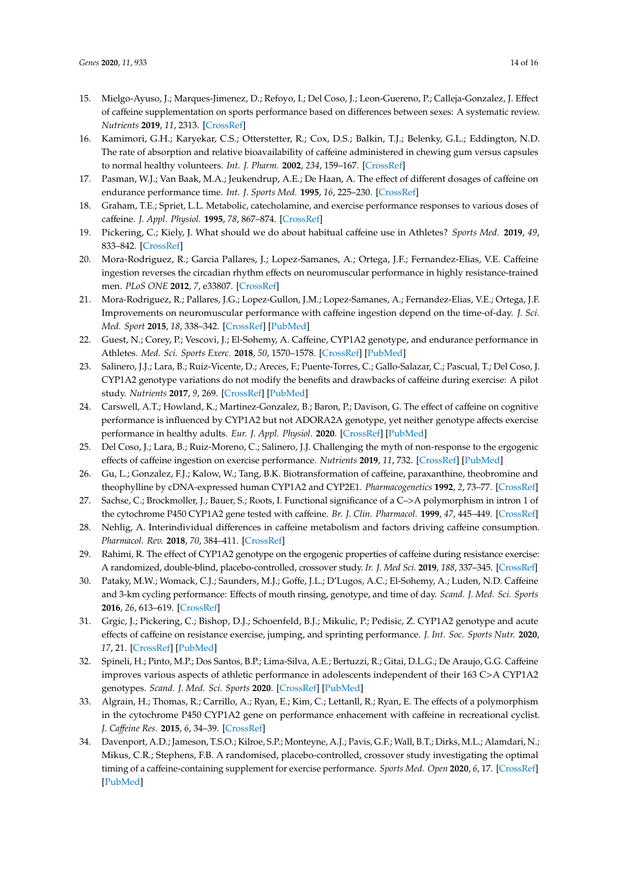- <span id="page-13-0"></span>15. Mielgo-Ayuso, J.; Marques-Jimenez, D.; Refoyo, I.; Del Coso, J.; Leon-Guereno, P.; Calleja-Gonzalez, J. Effect of caffeine supplementation on sports performance based on differences between sexes: A systematic review. *Nutrients* **2019**, *11*, 2313. [\[CrossRef\]](http://dx.doi.org/10.3390/nu11102313)
- <span id="page-13-1"></span>16. Kamimori, G.H.; Karyekar, C.S.; Otterstetter, R.; Cox, D.S.; Balkin, T.J.; Belenky, G.L.; Eddington, N.D. The rate of absorption and relative bioavailability of caffeine administered in chewing gum versus capsules to normal healthy volunteers. *Int. J. Pharm.* **2002**, *234*, 159–167. [\[CrossRef\]](http://dx.doi.org/10.1016/S0378-5173(01)00958-9)
- <span id="page-13-2"></span>17. Pasman, W.J.; Van Baak, M.A.; Jeukendrup, A.E.; De Haan, A. The effect of different dosages of caffeine on endurance performance time. *Int. J. Sports Med.* **1995**, *16*, 225–230. [\[CrossRef\]](http://dx.doi.org/10.1055/s-2007-972996)
- <span id="page-13-3"></span>18. Graham, T.E.; Spriet, L.L. Metabolic, catecholamine, and exercise performance responses to various doses of caffeine. *J. Appl. Physiol.* **1995**, *78*, 867–874. [\[CrossRef\]](http://dx.doi.org/10.1152/jappl.1995.78.3.867)
- <span id="page-13-4"></span>19. Pickering, C.; Kiely, J. What should we do about habitual caffeine use in Athletes? *Sports Med.* **2019**, *49*, 833–842. [\[CrossRef\]](http://dx.doi.org/10.1007/s40279-018-0980-7)
- <span id="page-13-5"></span>20. Mora-Rodriguez, R.; Garcia Pallares, J.; Lopez-Samanes, A.; Ortega, J.F.; Fernandez-Elias, V.E. Caffeine ingestion reverses the circadian rhythm effects on neuromuscular performance in highly resistance-trained men. *PLoS ONE* **2012**, *7*, e33807. [\[CrossRef\]](http://dx.doi.org/10.1371/journal.pone.0033807)
- <span id="page-13-6"></span>21. Mora-Rodriguez, R.; Pallares, J.G.; Lopez-Gullon, J.M.; Lopez-Samanes, A.; Fernandez-Elias, V.E.; Ortega, J.F. Improvements on neuromuscular performance with caffeine ingestion depend on the time-of-day. *J. Sci. Med. Sport* **2015**, *18*, 338–342. [\[CrossRef\]](http://dx.doi.org/10.1016/j.jsams.2014.04.010) [\[PubMed\]](http://www.ncbi.nlm.nih.gov/pubmed/24816164)
- <span id="page-13-7"></span>22. Guest, N.; Corey, P.; Vescovi, J.; El-Sohemy, A. Caffeine, CYP1A2 genotype, and endurance performance in Athletes. *Med. Sci. Sports Exerc.* **2018**, *50*, 1570–1578. [\[CrossRef\]](http://dx.doi.org/10.1249/MSS.0000000000001596) [\[PubMed\]](http://www.ncbi.nlm.nih.gov/pubmed/29509641)
- <span id="page-13-15"></span>23. Salinero, J.J.; Lara, B.; Ruiz-Vicente, D.; Areces, F.; Puente-Torres, C.; Gallo-Salazar, C.; Pascual, T.; Del Coso, J. CYP1A2 genotype variations do not modify the benefits and drawbacks of caffeine during exercise: A pilot study. *Nutrients* **2017**, *9*, 269. [\[CrossRef\]](http://dx.doi.org/10.3390/nu9030269) [\[PubMed\]](http://www.ncbi.nlm.nih.gov/pubmed/28287486)
- <span id="page-13-8"></span>24. Carswell, A.T.; Howland, K.; Martinez-Gonzalez, B.; Baron, P.; Davison, G. The effect of caffeine on cognitive performance is influenced by CYP1A2 but not ADORA2A genotype, yet neither genotype affects exercise performance in healthy adults. *Eur. J. Appl. Physiol.* **2020**. [\[CrossRef\]](http://dx.doi.org/10.1007/s00421-020-04384-8) [\[PubMed\]](http://www.ncbi.nlm.nih.gov/pubmed/32356023)
- <span id="page-13-9"></span>25. Del Coso, J.; Lara, B.; Ruiz-Moreno, C.; Salinero, J.J. Challenging the myth of non-response to the ergogenic effects of caffeine ingestion on exercise performance. *Nutrients* **2019**, *11*, 732. [\[CrossRef\]](http://dx.doi.org/10.3390/nu11040732) [\[PubMed\]](http://www.ncbi.nlm.nih.gov/pubmed/30934886)
- <span id="page-13-10"></span>26. Gu, L.; Gonzalez, F.J.; Kalow, W.; Tang, B.K. Biotransformation of caffeine, paraxanthine, theobromine and theophylline by cDNA-expressed human CYP1A2 and CYP2E1. *Pharmacogenetics* **1992**, *2*, 73–77. [\[CrossRef\]](http://dx.doi.org/10.1097/00008571-199204000-00004)
- <span id="page-13-11"></span>27. Sachse, C.; Brockmoller, J.; Bauer, S.; Roots, I. Functional significance of a C–>A polymorphism in intron 1 of the cytochrome P450 CYP1A2 gene tested with caffeine. *Br. J. Clin. Pharmacol.* **1999**, *47*, 445–449. [\[CrossRef\]](http://dx.doi.org/10.1046/j.1365-2125.1999.00898.x)
- <span id="page-13-12"></span>28. Nehlig, A. Interindividual differences in caffeine metabolism and factors driving caffeine consumption. *Pharmacol. Rev.* **2018**, *70*, 384–411. [\[CrossRef\]](http://dx.doi.org/10.1124/pr.117.014407)
- <span id="page-13-13"></span>29. Rahimi, R. The effect of CYP1A2 genotype on the ergogenic properties of caffeine during resistance exercise: A randomized, double-blind, placebo-controlled, crossover study. *Ir. J. Med Sci.* **2019**, *188*, 337–345. [\[CrossRef\]](http://dx.doi.org/10.1007/s11845-018-1780-7)
- <span id="page-13-14"></span>30. Pataky, M.W.; Womack, C.J.; Saunders, M.J.; Goffe, J.L.; D'Lugos, A.C.; El-Sohemy, A.; Luden, N.D. Caffeine and 3-km cycling performance: Effects of mouth rinsing, genotype, and time of day. *Scand. J. Med. Sci. Sports* **2016**, *26*, 613–619. [\[CrossRef\]](http://dx.doi.org/10.1111/sms.12501)
- <span id="page-13-16"></span>31. Grgic, J.; Pickering, C.; Bishop, D.J.; Schoenfeld, B.J.; Mikulic, P.; Pedisic, Z. CYP1A2 genotype and acute effects of caffeine on resistance exercise, jumping, and sprinting performance. *J. Int. Soc. Sports Nutr.* **2020**, *17*, 21. [\[CrossRef\]](http://dx.doi.org/10.1186/s12970-020-00349-6) [\[PubMed\]](http://www.ncbi.nlm.nih.gov/pubmed/32295624)
- <span id="page-13-17"></span>32. Spineli, H.; Pinto, M.P.; Dos Santos, B.P.; Lima-Silva, A.E.; Bertuzzi, R.; Gitai, D.L.G.; De Araujo, G.G. Caffeine improves various aspects of athletic performance in adolescents independent of their 163 C>A CYP1A2 genotypes. *Scand. J. Med. Sci. Sports* **2020**. [\[CrossRef\]](http://dx.doi.org/10.1111/sms.13749) [\[PubMed\]](http://www.ncbi.nlm.nih.gov/pubmed/32538495)
- 33. Algrain, H.; Thomas, R.; Carrillo, A.; Ryan, E.; Kim, C.; Lettanll, R.; Ryan, E. The effects of a polymorphism in the cytochrome P450 CYP1A2 gene on performance enhacement with caffeine in recreational cyclist. *J. Ca*ff*eine Res.* **2015**, *6*, 34–39. [\[CrossRef\]](http://dx.doi.org/10.1089/jcr.2015.0029)
- 34. Davenport, A.D.; Jameson, T.S.O.; Kilroe, S.P.; Monteyne, A.J.; Pavis, G.F.; Wall, B.T.; Dirks, M.L.; Alamdari, N.; Mikus, C.R.; Stephens, F.B. A randomised, placebo-controlled, crossover study investigating the optimal timing of a caffeine-containing supplement for exercise performance. *Sports Med. Open* **2020**, *6*, 17. [\[CrossRef\]](http://dx.doi.org/10.1186/s40798-020-00246-x) [\[PubMed\]](http://www.ncbi.nlm.nih.gov/pubmed/32232597)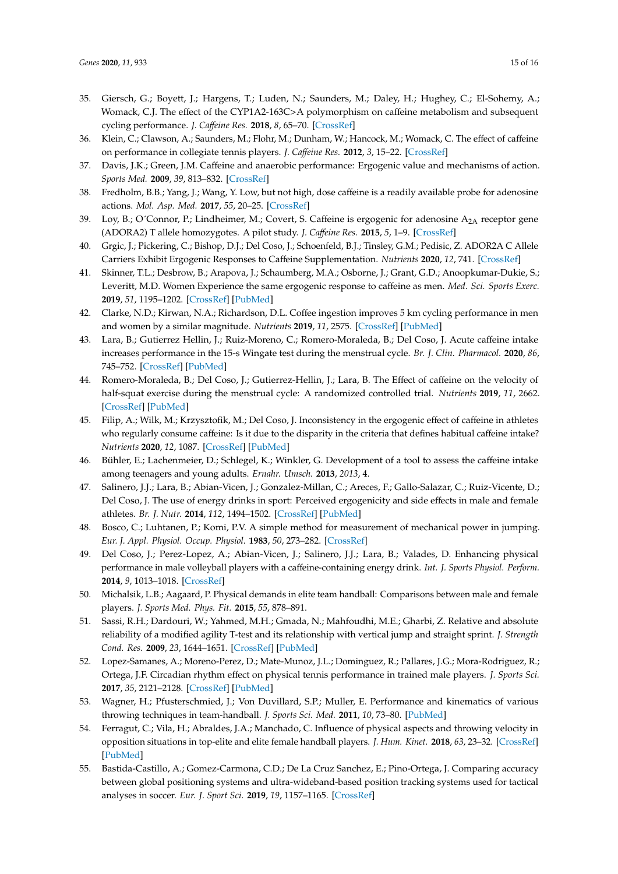- 35. Giersch, G.; Boyett, J.; Hargens, T.; Luden, N.; Saunders, M.; Daley, H.; Hughey, C.; El-Sohemy, A.; Womack, C.J. The effect of the CYP1A2-163C>A polymorphism on caffeine metabolism and subsequent cycling performance. *J. Ca*ff*eine Res.* **2018**, *8*, 65–70. [\[CrossRef\]](http://dx.doi.org/10.1089/caff.2017.0028)
- <span id="page-14-0"></span>36. Klein, C.; Clawson, A.; Saunders, M.; Flohr, M.; Dunham, W.; Hancock, M.; Womack, C. The effect of caffeine on performance in collegiate tennis players. *J. Ca*ff*eine Res.* **2012**, *3*, 15–22. [\[CrossRef\]](http://dx.doi.org/10.1089/jcr.2012.0019)
- <span id="page-14-1"></span>37. Davis, J.K.; Green, J.M. Caffeine and anaerobic performance: Ergogenic value and mechanisms of action. *Sports Med.* **2009**, *39*, 813–832. [\[CrossRef\]](http://dx.doi.org/10.2165/11317770-000000000-00000)
- <span id="page-14-2"></span>38. Fredholm, B.B.; Yang, J.; Wang, Y. Low, but not high, dose caffeine is a readily available probe for adenosine actions. *Mol. Asp. Med.* **2017**, *55*, 20–25. [\[CrossRef\]](http://dx.doi.org/10.1016/j.mam.2016.11.011)
- <span id="page-14-3"></span>39. Loy, B.; O´Connor, P.; Lindheimer, M.; Covert, S. Caffeine is ergogenic for adenosine A<sub>2A</sub> receptor gene (ADORA2) T allele homozygotes. A pilot study. *J. Ca*ff*eine Res.* **2015**, *5*, 1–9. [\[CrossRef\]](http://dx.doi.org/10.1089/jcr.2014.0035)
- <span id="page-14-4"></span>40. Grgic, J.; Pickering, C.; Bishop, D.J.; Del Coso, J.; Schoenfeld, B.J.; Tinsley, G.M.; Pedisic, Z. ADOR2A C Allele Carriers Exhibit Ergogenic Responses to Caffeine Supplementation. *Nutrients* **2020**, *12*, 741. [\[CrossRef\]](http://dx.doi.org/10.3390/nu12030741)
- <span id="page-14-5"></span>41. Skinner, T.L.; Desbrow, B.; Arapova, J.; Schaumberg, M.A.; Osborne, J.; Grant, G.D.; Anoopkumar-Dukie, S.; Leveritt, M.D. Women Experience the same ergogenic response to caffeine as men. *Med. Sci. Sports Exerc.* **2019**, *51*, 1195–1202. [\[CrossRef\]](http://dx.doi.org/10.1249/MSS.0000000000001885) [\[PubMed\]](http://www.ncbi.nlm.nih.gov/pubmed/30629046)
- <span id="page-14-6"></span>42. Clarke, N.D.; Kirwan, N.A.; Richardson, D.L. Coffee ingestion improves 5 km cycling performance in men and women by a similar magnitude. *Nutrients* **2019**, *11*, 2575. [\[CrossRef\]](http://dx.doi.org/10.3390/nu11112575) [\[PubMed\]](http://www.ncbi.nlm.nih.gov/pubmed/31731467)
- <span id="page-14-7"></span>43. Lara, B.; Gutierrez Hellin, J.; Ruiz-Moreno, C.; Romero-Moraleda, B.; Del Coso, J. Acute caffeine intake increases performance in the 15-s Wingate test during the menstrual cycle. *Br. J. Clin. Pharmacol.* **2020**, *86*, 745–752. [\[CrossRef\]](http://dx.doi.org/10.1111/bcp.14175) [\[PubMed\]](http://www.ncbi.nlm.nih.gov/pubmed/31747465)
- <span id="page-14-8"></span>44. Romero-Moraleda, B.; Del Coso, J.; Gutierrez-Hellin, J.; Lara, B. The Effect of caffeine on the velocity of half-squat exercise during the menstrual cycle: A randomized controlled trial. *Nutrients* **2019**, *11*, 2662. [\[CrossRef\]](http://dx.doi.org/10.3390/nu11112662) [\[PubMed\]](http://www.ncbi.nlm.nih.gov/pubmed/31690049)
- <span id="page-14-9"></span>45. Filip, A.; Wilk, M.; Krzysztofik, M.; Del Coso, J. Inconsistency in the ergogenic effect of caffeine in athletes who regularly consume caffeine: Is it due to the disparity in the criteria that defines habitual caffeine intake? *Nutrients* **2020**, *12*, 1087. [\[CrossRef\]](http://dx.doi.org/10.3390/nu12041087) [\[PubMed\]](http://www.ncbi.nlm.nih.gov/pubmed/32326386)
- <span id="page-14-10"></span>46. Bühler, E.; Lachenmeier, D.; Schlegel, K.; Winkler, G. Development of a tool to assess the caffeine intake among teenagers and young adults. *Ernahr. Umsch.* **2013**, *2013*, 4.
- <span id="page-14-11"></span>47. Salinero, J.J.; Lara, B.; Abian-Vicen, J.; Gonzalez-Millan, C.; Areces, F.; Gallo-Salazar, C.; Ruiz-Vicente, D.; Del Coso, J. The use of energy drinks in sport: Perceived ergogenicity and side effects in male and female athletes. *Br. J. Nutr.* **2014**, *112*, 1494–1502. [\[CrossRef\]](http://dx.doi.org/10.1017/S0007114514002189) [\[PubMed\]](http://www.ncbi.nlm.nih.gov/pubmed/25212095)
- <span id="page-14-12"></span>48. Bosco, C.; Luhtanen, P.; Komi, P.V. A simple method for measurement of mechanical power in jumping. *Eur. J. Appl. Physiol. Occup. Physiol.* **1983**, *50*, 273–282. [\[CrossRef\]](http://dx.doi.org/10.1007/BF00422166)
- <span id="page-14-13"></span>49. Del Coso, J.; Perez-Lopez, A.; Abian-Vicen, J.; Salinero, J.J.; Lara, B.; Valades, D. Enhancing physical performance in male volleyball players with a caffeine-containing energy drink. *Int. J. Sports Physiol. Perform.* **2014**, *9*, 1013–1018. [\[CrossRef\]](http://dx.doi.org/10.1123/ijspp.2013-0448)
- <span id="page-14-14"></span>50. Michalsik, L.B.; Aagaard, P. Physical demands in elite team handball: Comparisons between male and female players. *J. Sports Med. Phys. Fit.* **2015**, *55*, 878–891.
- <span id="page-14-15"></span>51. Sassi, R.H.; Dardouri, W.; Yahmed, M.H.; Gmada, N.; Mahfoudhi, M.E.; Gharbi, Z. Relative and absolute reliability of a modified agility T-test and its relationship with vertical jump and straight sprint. *J. Strength Cond. Res.* **2009**, *23*, 1644–1651. [\[CrossRef\]](http://dx.doi.org/10.1519/JSC.0b013e3181b425d2) [\[PubMed\]](http://www.ncbi.nlm.nih.gov/pubmed/19675502)
- <span id="page-14-16"></span>52. Lopez-Samanes, A.; Moreno-Perez, D.; Mate-Munoz, J.L.; Dominguez, R.; Pallares, J.G.; Mora-Rodriguez, R.; Ortega, J.F. Circadian rhythm effect on physical tennis performance in trained male players. *J. Sports Sci.* **2017**, *35*, 2121–2128. [\[CrossRef\]](http://dx.doi.org/10.1080/02640414.2016.1258481) [\[PubMed\]](http://www.ncbi.nlm.nih.gov/pubmed/27918240)
- <span id="page-14-17"></span>53. Wagner, H.; Pfusterschmied, J.; Von Duvillard, S.P.; Muller, E. Performance and kinematics of various throwing techniques in team-handball. *J. Sports Sci. Med.* **2011**, *10*, 73–80. [\[PubMed\]](http://www.ncbi.nlm.nih.gov/pubmed/24149298)
- <span id="page-14-18"></span>54. Ferragut, C.; Vila, H.; Abraldes, J.A.; Manchado, C. Influence of physical aspects and throwing velocity in opposition situations in top-elite and elite female handball players. *J. Hum. Kinet.* **2018**, *63*, 23–32. [\[CrossRef\]](http://dx.doi.org/10.2478/hukin-2018-0003) [\[PubMed\]](http://www.ncbi.nlm.nih.gov/pubmed/30279938)
- <span id="page-14-19"></span>55. Bastida-Castillo, A.; Gomez-Carmona, C.D.; De La Cruz Sanchez, E.; Pino-Ortega, J. Comparing accuracy between global positioning systems and ultra-wideband-based position tracking systems used for tactical analyses in soccer. *Eur. J. Sport Sci.* **2019**, *19*, 1157–1165. [\[CrossRef\]](http://dx.doi.org/10.1080/17461391.2019.1584248)